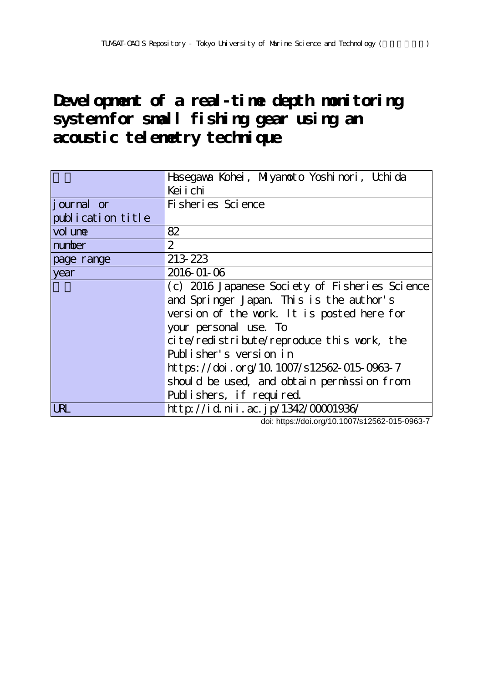**Development of a real-time depth monitoring system for small fishing gear using an acoustic telemetry technique**

|                   | Hasegava Kohei, Miyanoto Yoshinori, Uchida     |  |  |  |  |
|-------------------|------------------------------------------------|--|--|--|--|
|                   | Kei i chi                                      |  |  |  |  |
| journal or        | Fi sheri es Sci ence                           |  |  |  |  |
| publication title |                                                |  |  |  |  |
| vol une           | 82                                             |  |  |  |  |
| number            | $\overline{2}$                                 |  |  |  |  |
| page range        | 213 223                                        |  |  |  |  |
| year              | 2016-01-06                                     |  |  |  |  |
|                   | (c) 2016 Japanese Society of Fisheries Science |  |  |  |  |
|                   | and Springer Japan. This is the author's       |  |  |  |  |
|                   | version of the work. It is posted here for     |  |  |  |  |
|                   | your personal use. To                          |  |  |  |  |
|                   | cite/redistribute/reproduce this work, the     |  |  |  |  |
|                   | Publisher's version in                         |  |  |  |  |
|                   | https://doi.org/10.1007/s12562-015-0963-7      |  |  |  |  |
|                   | should be used, and obtain permission from     |  |  |  |  |
|                   | Publishers, if required.                       |  |  |  |  |
| <b>LRL</b>        | http://id.nii.ac.jp/1342/00001936/             |  |  |  |  |

doi: https://doi.org/10.1007/s12562-015-0963-7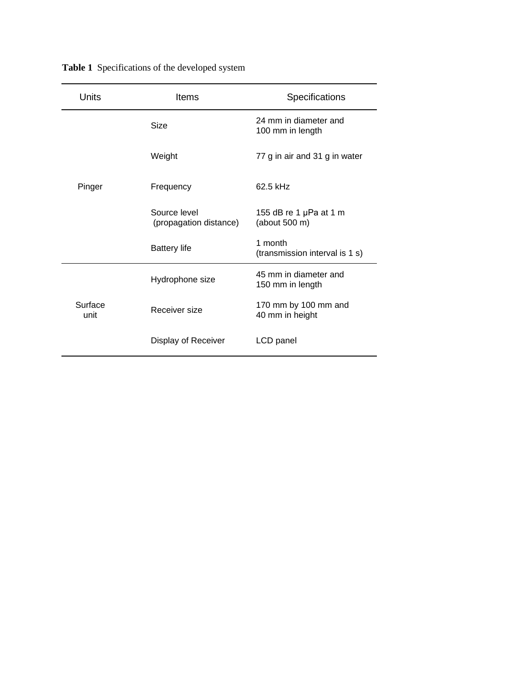| Units           | Items                                  | Specifications                            |  |
|-----------------|----------------------------------------|-------------------------------------------|--|
|                 | <b>Size</b>                            | 24 mm in diameter and<br>100 mm in length |  |
| Pinger          | Weight                                 | 77 g in air and 31 g in water             |  |
|                 | Frequency                              | 62.5 kHz                                  |  |
|                 | Source level<br>(propagation distance) | 155 dB re 1 µPa at 1 m<br>(about 500 m)   |  |
|                 | <b>Battery life</b>                    | 1 month<br>(transmission interval is 1 s) |  |
|                 | Hydrophone size                        | 45 mm in diameter and<br>150 mm in length |  |
| Surface<br>unit | Receiver size                          | 170 mm by 100 mm and<br>40 mm in height   |  |
|                 | Display of Receiver                    | LCD panel                                 |  |

**Table 1** Specifications of the developed system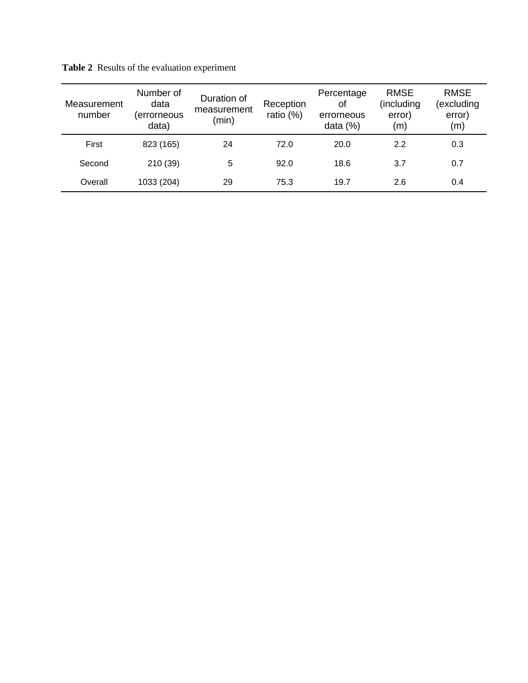| Measurement<br>number | Number of<br>data<br>(errorneous<br>data) | Duration of<br>measurement<br>(min) | Reception<br>ratio (%) | Percentage<br><b>of</b><br>errorneous<br>data $(%)$ | <b>RMSE</b><br>(including<br>error)<br>(m) | <b>RMSE</b><br>(excluding<br>error)<br>(m) |
|-----------------------|-------------------------------------------|-------------------------------------|------------------------|-----------------------------------------------------|--------------------------------------------|--------------------------------------------|
| First                 | 823 (165)                                 | 24                                  | 72.0                   | 20.0                                                | 2.2                                        | 0.3                                        |
| Second                | 210 (39)                                  | 5                                   | 92.0                   | 18.6                                                | 3.7                                        | 0.7                                        |
| Overall               | 1033 (204)                                | 29                                  | 75.3                   | 19.7                                                | 2.6                                        | 0.4                                        |

**Table 2** Results of the evaluation experiment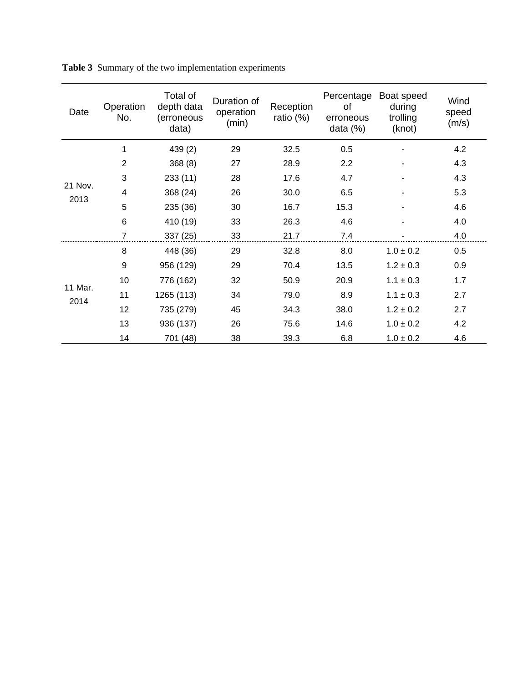| Date            | Operation<br>No. | Total of<br>depth data<br>(erroneous<br>data) | Duration of<br>operation<br>(min) | Reception<br>ratio (%) | Percentage<br>of<br>erroneous<br>data $(%)$ | Boat speed<br>during<br>trolling<br>(knot) | Wind<br>speed<br>(m/s) |
|-----------------|------------------|-----------------------------------------------|-----------------------------------|------------------------|---------------------------------------------|--------------------------------------------|------------------------|
| 21 Nov.<br>2013 | 1                | 439 (2)                                       | 29                                | 32.5                   | 0.5                                         |                                            | 4.2                    |
|                 | 2                | 368(8)                                        | 27                                | 28.9                   | 2.2                                         |                                            | 4.3                    |
|                 | 3                | 233 (11)                                      | 28                                | 17.6                   | 4.7                                         |                                            | 4.3                    |
|                 | 4                | 368 (24)                                      | 26                                | 30.0                   | 6.5                                         |                                            | 5.3                    |
|                 | 5                | 235 (36)                                      | 30                                | 16.7                   | 15.3                                        |                                            | 4.6                    |
|                 | 6                | 410 (19)                                      | 33                                | 26.3                   | 4.6                                         |                                            | 4.0                    |
|                 |                  | 337 (25)                                      | 33                                | 21.7                   | 7.4                                         |                                            | 4.0                    |
|                 | 8                | 448 (36)                                      | 29                                | 32.8                   | 8.0                                         | $1.0 \pm 0.2$                              | 0.5                    |
|                 | 9                | 956 (129)                                     | 29                                | 70.4                   | 13.5                                        | $1.2 \pm 0.3$                              | 0.9                    |
|                 | 10               | 776 (162)                                     | 32                                | 50.9                   | 20.9                                        | $1.1 \pm 0.3$                              | 1.7                    |
| 11 Mar.<br>2014 | 11               | 1265 (113)                                    | 34                                | 79.0                   | 8.9                                         | $1.1 \pm 0.3$                              | 2.7                    |
|                 | 12               | 735 (279)                                     | 45                                | 34.3                   | 38.0                                        | $1.2 \pm 0.2$                              | 2.7                    |
|                 | 13               | 936 (137)                                     | 26                                | 75.6                   | 14.6                                        | $1.0 \pm 0.2$                              | 4.2                    |
|                 | 14               | 701 (48)                                      | 38                                | 39.3                   | 6.8                                         | $1.0 \pm 0.2$                              | 4.6                    |

**Table 3** Summary of the two implementation experiments